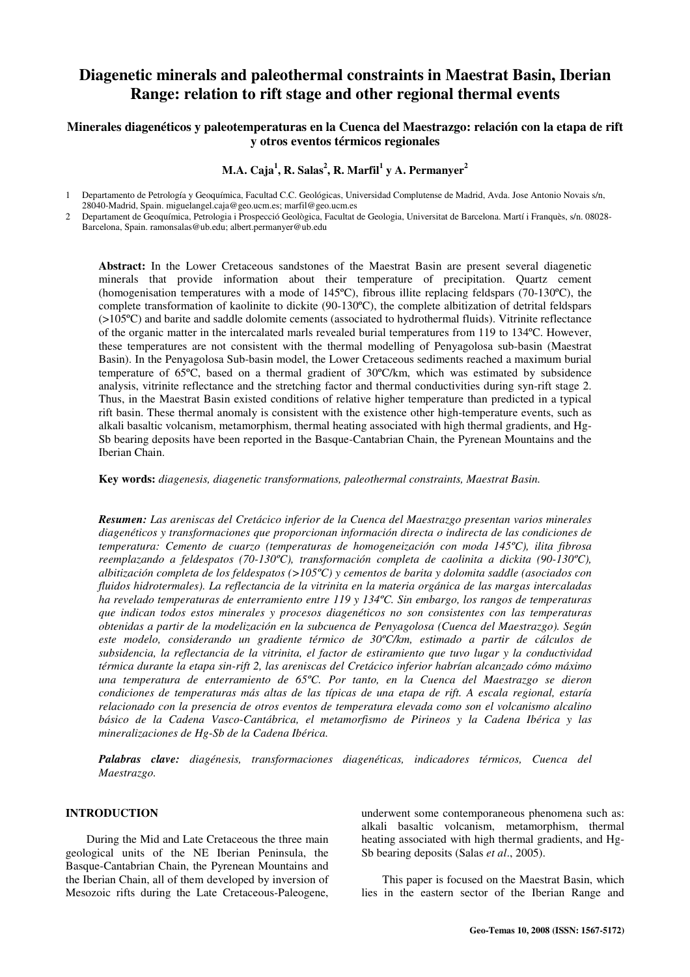# **Diagenetic minerals and paleothermal constraints in Maestrat Basin, Iberian Range: relation to rift stage and other regional thermal events**

# **Minerales diagenéticos y paleotemperaturas en la Cuenca del Maestrazgo: relación con la etapa de rift y otros eventos térmicos regionales**

**M.A. Caja<sup>1</sup> , R. Salas<sup>2</sup> , R. Marfil<sup>1</sup> y A. Permanyer<sup>2</sup>** 

1 Departamento de Petrología y Geoquímica, Facultad C.C. Geológicas, Universidad Complutense de Madrid, Avda. Jose Antonio Novais s/n, 28040-Madrid, Spain. miguelangel.caja@geo.ucm.es; marfil@geo.ucm.es

2 Departament de Geoquímica, Petrologia i Prospecció Geològica, Facultat de Geologia, Universitat de Barcelona. Martí i Franquès, s/n. 08028- Barcelona, Spain. ramonsalas@ub.edu; albert.permanyer@ub.edu

**Abstract:** In the Lower Cretaceous sandstones of the Maestrat Basin are present several diagenetic minerals that provide information about their temperature of precipitation. Quartz cement (homogenisation temperatures with a mode of 145ºC), fibrous illite replacing feldspars (70-130ºC), the complete transformation of kaolinite to dickite (90-130ºC), the complete albitization of detrital feldspars (>105ºC) and barite and saddle dolomite cements (associated to hydrothermal fluids). Vitrinite reflectance of the organic matter in the intercalated marls revealed burial temperatures from 119 to 134ºC. However, these temperatures are not consistent with the thermal modelling of Penyagolosa sub-basin (Maestrat Basin). In the Penyagolosa Sub-basin model, the Lower Cretaceous sediments reached a maximum burial temperature of 65ºC, based on a thermal gradient of 30ºC/km, which was estimated by subsidence analysis, vitrinite reflectance and the stretching factor and thermal conductivities during syn-rift stage 2. Thus, in the Maestrat Basin existed conditions of relative higher temperature than predicted in a typical rift basin. These thermal anomaly is consistent with the existence other high-temperature events, such as alkali basaltic volcanism, metamorphism, thermal heating associated with high thermal gradients, and Hg-Sb bearing deposits have been reported in the Basque-Cantabrian Chain, the Pyrenean Mountains and the Iberian Chain.

**Key words:** *diagenesis, diagenetic transformations, paleothermal constraints, Maestrat Basin.* 

*Resumen: Las areniscas del Cretácico inferior de la Cuenca del Maestrazgo presentan varios minerales diagenéticos y transformaciones que proporcionan información directa o indirecta de las condiciones de temperatura: Cemento de cuarzo (temperaturas de homogeneización con moda 145ºC), ilita fibrosa reemplazando a feldespatos (70-130ºC), transformación completa de caolinita a dickita (90-130ºC), albitización completa de los feldespatos (>105ºC) y cementos de barita y dolomita saddle (asociados con fluidos hidrotermales). La reflectancia de la vitrinita en la materia orgánica de las margas intercaladas ha revelado temperaturas de enterramiento entre 119 y 134ºC. Sin embargo, los rangos de temperaturas que indican todos estos minerales y procesos diagenéticos no son consistentes con las temperaturas obtenidas a partir de la modelización en la subcuenca de Penyagolosa (Cuenca del Maestrazgo). Según este modelo, considerando un gradiente térmico de 30ºC/km, estimado a partir de cálculos de subsidencia, la reflectancia de la vitrinita, el factor de estiramiento que tuvo lugar y la conductividad térmica durante la etapa sin-rift 2, las areniscas del Cretácico inferior habrían alcanzado cómo máximo una temperatura de enterramiento de 65ºC. Por tanto, en la Cuenca del Maestrazgo se dieron condiciones de temperaturas más altas de las típicas de una etapa de rift. A escala regional, estaría relacionado con la presencia de otros eventos de temperatura elevada como son el volcanismo alcalino básico de la Cadena Vasco-Cantábrica, el metamorfismo de Pirineos y la Cadena Ibérica y las mineralizaciones de Hg-Sb de la Cadena Ibérica.* 

*Palabras clave: diagénesis, transformaciones diagenéticas, indicadores térmicos, Cuenca del Maestrazgo.* 

# **INTRODUCTION**

During the Mid and Late Cretaceous the three main geological units of the NE Iberian Peninsula, the Basque-Cantabrian Chain, the Pyrenean Mountains and the Iberian Chain, all of them developed by inversion of Mesozoic rifts during the Late Cretaceous-Paleogene, underwent some contemporaneous phenomena such as: alkali basaltic volcanism, metamorphism, thermal heating associated with high thermal gradients, and Hg-Sb bearing deposits (Salas *et al*., 2005).

This paper is focused on the Maestrat Basin, which lies in the eastern sector of the Iberian Range and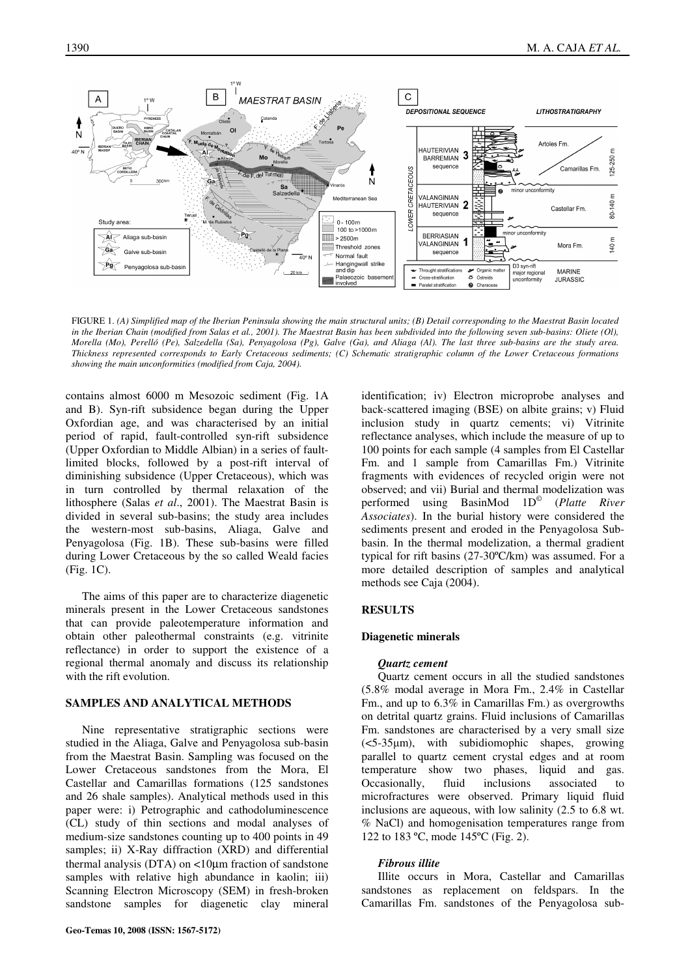

FIGURE 1. *(A) Simplified map of the Iberian Peninsula showing the main structural units; (B) Detail corresponding to the Maestrat Basin located in the Iberian Chain (modified from Salas et al., 2001). The Maestrat Basin has been subdivided into the following seven sub-basins: Oliete (Ol), Morella (Mo), Perelló (Pe), Salzedella (Sa), Penyagolosa (Pg), Galve (Ga), and Aliaga (Al). The last three sub-basins are the study area. Thickness represented corresponds to Early Cretaceous sediments; (C) Schematic stratigraphic column of the Lower Cretaceous formations showing the main unconformities (modified from Caja, 2004).* 

contains almost 6000 m Mesozoic sediment (Fig. 1A and B). Syn-rift subsidence began during the Upper Oxfordian age, and was characterised by an initial period of rapid, fault-controlled syn-rift subsidence (Upper Oxfordian to Middle Albian) in a series of faultlimited blocks, followed by a post-rift interval of diminishing subsidence (Upper Cretaceous), which was in turn controlled by thermal relaxation of the lithosphere (Salas *et al*., 2001). The Maestrat Basin is divided in several sub-basins; the study area includes the western-most sub-basins, Aliaga, Galve and Penyagolosa (Fig. 1B). These sub-basins were filled during Lower Cretaceous by the so called Weald facies (Fig. 1C).

The aims of this paper are to characterize diagenetic minerals present in the Lower Cretaceous sandstones that can provide paleotemperature information and obtain other paleothermal constraints (e.g. vitrinite reflectance) in order to support the existence of a regional thermal anomaly and discuss its relationship with the rift evolution.

## **SAMPLES AND ANALYTICAL METHODS**

Nine representative stratigraphic sections were studied in the Aliaga, Galve and Penyagolosa sub-basin from the Maestrat Basin. Sampling was focused on the Lower Cretaceous sandstones from the Mora, El Castellar and Camarillas formations (125 sandstones and 26 shale samples). Analytical methods used in this paper were: i) Petrographic and cathodoluminescence (CL) study of thin sections and modal analyses of medium-size sandstones counting up to 400 points in 49 samples; ii) X-Ray diffraction (XRD) and differential thermal analysis (DTA) on <10µm fraction of sandstone samples with relative high abundance in kaolin; iii) Scanning Electron Microscopy (SEM) in fresh-broken sandstone samples for diagenetic clay mineral

identification; iv) Electron microprobe analyses and back-scattered imaging (BSE) on albite grains; v) Fluid inclusion study in quartz cements; vi) Vitrinite reflectance analyses, which include the measure of up to 100 points for each sample (4 samples from El Castellar Fm. and 1 sample from Camarillas Fm.) Vitrinite fragments with evidences of recycled origin were not observed; and vii) Burial and thermal modelization was performed using BasinMod 1D© (*Platte River Associates*). In the burial history were considered the sediments present and eroded in the Penyagolosa Subbasin. In the thermal modelization, a thermal gradient typical for rift basins (27-30ºC/km) was assumed. For a more detailed description of samples and analytical methods see Caja (2004).

### **RESULTS**

#### **Diagenetic minerals**

#### *Quartz cement*

Quartz cement occurs in all the studied sandstones (5.8% modal average in Mora Fm., 2.4% in Castellar Fm., and up to 6.3% in Camarillas Fm.) as overgrowths on detrital quartz grains. Fluid inclusions of Camarillas Fm. sandstones are characterised by a very small size (<5-35µm), with subidiomophic shapes, growing parallel to quartz cement crystal edges and at room temperature show two phases, liquid and gas. Occasionally, fluid inclusions associated to microfractures were observed. Primary liquid fluid inclusions are aqueous, with low salinity (2.5 to 6.8 wt. % NaCl) and homogenisation temperatures range from 122 to 183 ºC, mode 145ºC (Fig. 2).

#### *Fibrous illite*

Illite occurs in Mora, Castellar and Camarillas sandstones as replacement on feldspars. In the Camarillas Fm. sandstones of the Penyagolosa sub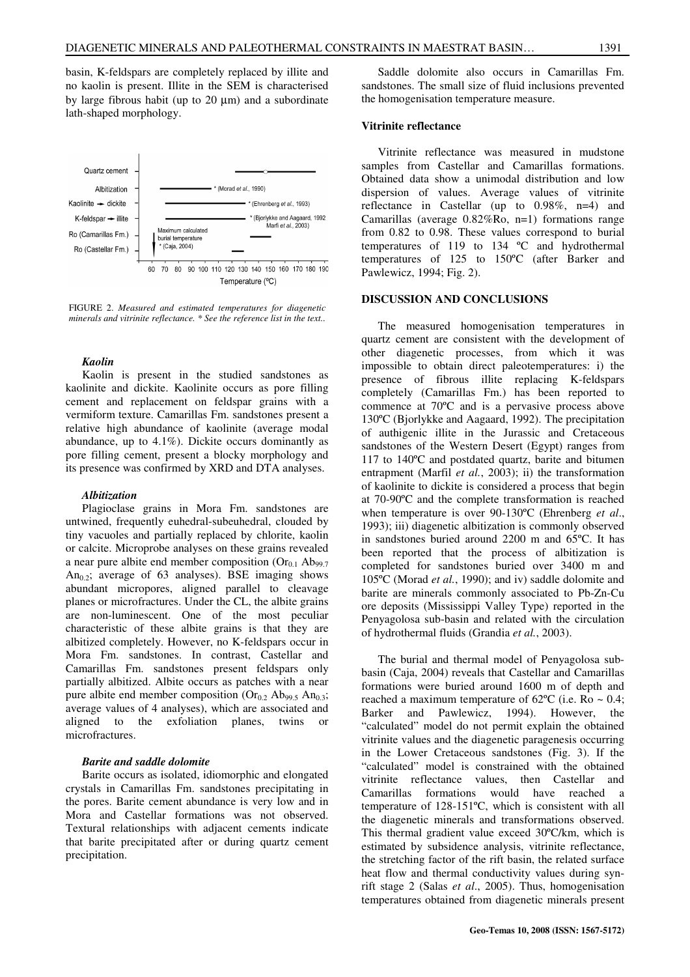basin, K-feldspars are completely replaced by illite and no kaolin is present. Illite in the SEM is characterised by large fibrous habit (up to 20 µm) and a subordinate lath-shaped morphology.



FIGURE 2. *Measured and estimated temperatures for diagenetic minerals and vitrinite reflectance. \* See the reference list in the text..*

## *Kaolin*

Kaolin is present in the studied sandstones as kaolinite and dickite. Kaolinite occurs as pore filling cement and replacement on feldspar grains with a vermiform texture. Camarillas Fm. sandstones present a relative high abundance of kaolinite (average modal abundance, up to 4.1%). Dickite occurs dominantly as pore filling cement, present a blocky morphology and its presence was confirmed by XRD and DTA analyses.

#### *Albitization*

Plagioclase grains in Mora Fm. sandstones are untwined, frequently euhedral-subeuhedral, clouded by tiny vacuoles and partially replaced by chlorite, kaolin or calcite. Microprobe analyses on these grains revealed a near pure albite end member composition  $(Or_{0.1} Ab_{99.7})$ An<sub>0.2</sub>; average of 63 analyses). BSE imaging shows abundant micropores, aligned parallel to cleavage planes or microfractures. Under the CL, the albite grains are non-luminescent. One of the most peculiar characteristic of these albite grains is that they are albitized completely. However, no K-feldspars occur in Mora Fm. sandstones. In contrast, Castellar and Camarillas Fm. sandstones present feldspars only partially albitized. Albite occurs as patches with a near pure albite end member composition ( $Or_{0.2}$  Ab<sub>99.5</sub> An<sub>0.3</sub>; average values of 4 analyses), which are associated and aligned to the exfoliation planes, twins or microfractures.

### *Barite and saddle dolomite*

Barite occurs as isolated, idiomorphic and elongated crystals in Camarillas Fm. sandstones precipitating in the pores. Barite cement abundance is very low and in Mora and Castellar formations was not observed. Textural relationships with adjacent cements indicate that barite precipitated after or during quartz cement precipitation.

Saddle dolomite also occurs in Camarillas Fm. sandstones. The small size of fluid inclusions prevented the homogenisation temperature measure.

## **Vitrinite reflectance**

Vitrinite reflectance was measured in mudstone samples from Castellar and Camarillas formations. Obtained data show a unimodal distribution and low dispersion of values. Average values of vitrinite reflectance in Castellar (up to 0.98%, n=4) and Camarillas (average 0.82%Ro, n=1) formations range from 0.82 to 0.98. These values correspond to burial temperatures of 119 to 134 ºC and hydrothermal temperatures of 125 to 150ºC (after Barker and Pawlewicz, 1994; Fig. 2).

## **DISCUSSION AND CONCLUSIONS**

The measured homogenisation temperatures in quartz cement are consistent with the development of other diagenetic processes, from which it was impossible to obtain direct paleotemperatures: i) the presence of fibrous illite replacing K-feldspars completely (Camarillas Fm.) has been reported to commence at 70ºC and is a pervasive process above 130ºC (Bjorlykke and Aagaard, 1992). The precipitation of authigenic illite in the Jurassic and Cretaceous sandstones of the Western Desert (Egypt) ranges from 117 to 140ºC and postdated quartz, barite and bitumen entrapment (Marfil *et al.*, 2003); ii) the transformation of kaolinite to dickite is considered a process that begin at 70-90ºC and the complete transformation is reached when temperature is over 90-130ºC (Ehrenberg *et al*., 1993); iii) diagenetic albitization is commonly observed in sandstones buried around 2200 m and 65ºC. It has been reported that the process of albitization is completed for sandstones buried over 3400 m and 105ºC (Morad *et al.*, 1990); and iv) saddle dolomite and barite are minerals commonly associated to Pb-Zn-Cu ore deposits (Mississippi Valley Type) reported in the Penyagolosa sub-basin and related with the circulation of hydrothermal fluids (Grandia *et al.*, 2003).

The burial and thermal model of Penyagolosa subbasin (Caja, 2004) reveals that Castellar and Camarillas formations were buried around 1600 m of depth and reached a maximum temperature of  $62^{\circ}$ C (i.e. Ro ~ 0.4; Barker and Pawlewicz, 1994). However, the "calculated" model do not permit explain the obtained vitrinite values and the diagenetic paragenesis occurring in the Lower Cretaceous sandstones (Fig. 3). If the "calculated" model is constrained with the obtained vitrinite reflectance values, then Castellar and Camarillas formations would have reached a temperature of 128-151ºC, which is consistent with all the diagenetic minerals and transformations observed. This thermal gradient value exceed 30ºC/km, which is estimated by subsidence analysis, vitrinite reflectance, the stretching factor of the rift basin, the related surface heat flow and thermal conductivity values during synrift stage 2 (Salas *et al*., 2005). Thus, homogenisation temperatures obtained from diagenetic minerals present